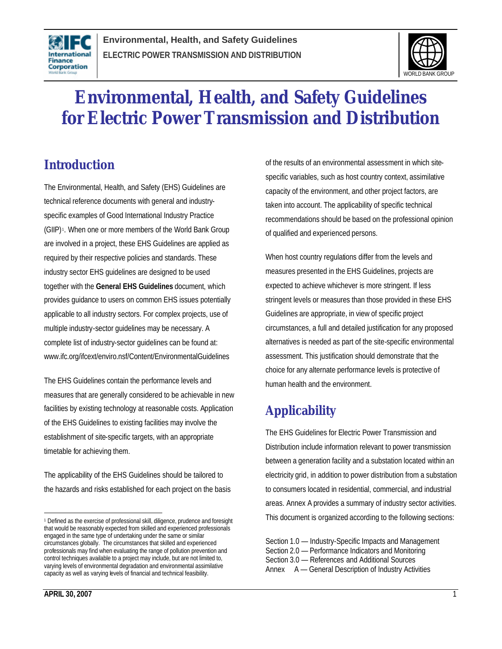



# **Environmental, Health, and Safety Guidelines for Electric Power Transmission and Distribution**

# **Introduction**

The Environmental, Health, and Safety (EHS) Guidelines are technical reference documents with general and industryspecific examples of Good International Industry Practice (GIIP) <sup>1</sup> . When one or more members of the World Bank Group are involved in a project, these EHS Guidelines are applied as required by their respective policies and standards. These industry sector EHS guidelines are designed to be used together with the **General EHS Guidelines** document, which provides guidance to users on common EHS issues potentially applicable to all industry sectors. For complex projects, use of multiple industry-sector guidelines may be necessary. A complete list of industry-sector guidelines can be found at: www.ifc.org/ifcext/enviro.nsf/Content/EnvironmentalGuidelines

The EHS Guidelines contain the performance levels and measures that are generally considered to be achievable in new facilities by existing technology at reasonable costs. Application of the EHS Guidelines to existing facilities may involve the establishment of site-specific targets, with an appropriate timetable for achieving them.

The applicability of the EHS Guidelines should be tailored to the hazards and risks established for each project on the basis of the results of an environmental assessment in which sitespecific variables, such as host country context, assimilative capacity of the environment, and other project factors, are taken into account. The applicability of specific technical recommendations should be based on the professional opinion of qualified and experienced persons.

When host country regulations differ from the levels and measures presented in the EHS Guidelines, projects are expected to achieve whichever is more stringent. If less stringent levels or measures than those provided in these EHS Guidelines are appropriate, in view of specific project circumstances, a full and detailed justification for any proposed alternatives is needed as part of the site-specific environmental assessment. This justification should demonstrate that the choice for any alternate performance levels is protective of human health and the environment.

# **Applicability**

The EHS Guidelines for Electric Power Transmission and Distribution include information relevant to power transmission between a generation facility and a substation located within an electricity grid, in addition to power distribution from a substation to consumers located in residential, commercial, and industrial areas. Annex A provides a summary of industry sector activities. This document is organized according to the following sections:

 $\overline{a}$ <sup>1</sup> Defined as the exercise of professional skill, diligence, prudence and foresight that would be reasonably expected from skilled and experienced professionals engaged in the same type of undertaking under the same or similar circumstances globally. The circumstances that skilled and experienced professionals may find when evaluating the range of pollution prevention and control techniques available to a project may include, but are not limited to, varying levels of environmental degradation and environmental assimilative capacity as well as varying levels of financial and technical feasibility.

Section 1.0 — Industry-Specific Impacts and Management Section 2.0 — Performance Indicators and Monitoring Section 3.0 — References and Additional Sources Annex A — General Description of Industry Activities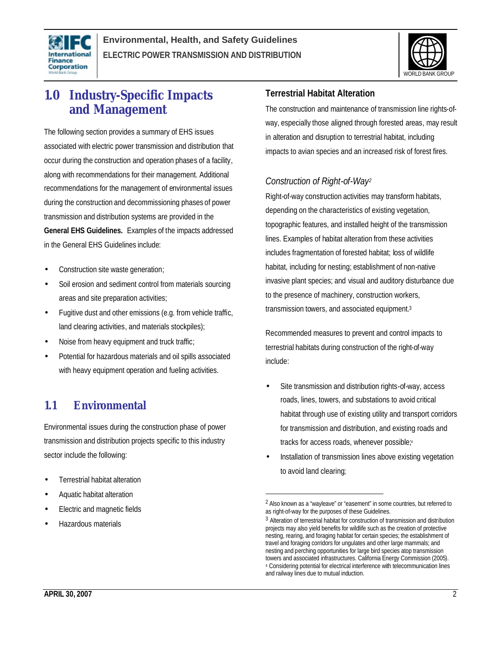



## **1.0 Industry-Specific Impacts and Management**

The following section provides a summary of EHS issues associated with electric power transmission and distribution that occur during the construction and operation phases of a facility, along with recommendations for their management. Additional recommendations for the management of environmental issues during the construction and decommissioning phases of power transmission and distribution systems are provided in the **General EHS Guidelines.** Examples of the impacts addressed in the General EHS Guidelines include:

- Construction site waste generation;
- Soil erosion and sediment control from materials sourcing areas and site preparation activities;
- Fugitive dust and other emissions (e.g. from vehicle traffic, land clearing activities, and materials stockpiles);
- Noise from heavy equipment and truck traffic;
- Potential for hazardous materials and oil spills associated with heavy equipment operation and fueling activities.

### **1.1 Environmental**

Environmental issues during the construction phase of power transmission and distribution projects specific to this industry sector include the following:

- Terrestrial habitat alteration
- Aquatic habitat alteration
- Electric and magnetic fields
- Hazardous materials

#### **Terrestrial Habitat Alteration**

The construction and maintenance of transmission line rights-ofway, especially those aligned through forested areas, may result in alteration and disruption to terrestrial habitat, including impacts to avian species and an increased risk of forest fires.

#### *Construction of Right-of-Way<sup>2</sup>*

Right-of-way construction activities may transform habitats, depending on the characteristics of existing vegetation, topographic features, and installed height of the transmission lines. Examples of habitat alteration from these activities includes fragmentation of forested habitat; loss of wildlife habitat, including for nesting; establishment of non-native invasive plant species; and visual and auditory disturbance due to the presence of machinery, construction workers, transmission towers, and associated equipment.<sup>3</sup>

Recommended measures to prevent and control impacts to terrestrial habitats during construction of the right-of-way include:

- Site transmission and distribution rights-of-way, access roads, lines, towers, and substations to avoid critical habitat through use of existing utility and transport corridors for transmission and distribution, and existing roads and tracks for access roads, whenever possible; 4
- Installation of transmission lines above existing vegetation to avoid land clearing;

1

<sup>&</sup>lt;sup>2</sup> Also known as a "wayleave" or "easement" in some countries, but referred to as right-of-way for the purposes of these Guidelines.

<sup>3</sup> Alteration of terrestrial habitat for construction of transmission and distribution projects may also yield benefits for wildlife such as the creation of protective nesting, rearing, and foraging habitat for certain species; the establishment of travel and foraging corridors for ungulates and other large mammals; and nesting and perching opportunities for large bird species atop transmission towers and associated infrastructures. California Energy Commission (2005). 4 Considering potential for electrical interference with telecommunication lines and railway lines due to mutual induction.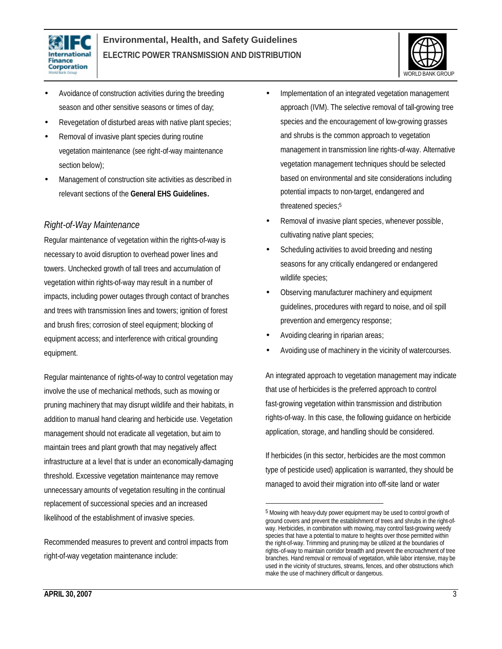



- Avoidance of construction activities during the breeding season and other sensitive seasons or times of day;
- Revegetation of disturbed areas with native plant species;
- Removal of invasive plant species during routine vegetation maintenance (see right-of-way maintenance section below);
- Management of construction site activities as described in relevant sections of the **General EHS Guidelines.**

#### *Right-of-Way Maintenance*

Regular maintenance of vegetation within the rights-of-way is necessary to avoid disruption to overhead power lines and towers. Unchecked growth of tall trees and accumulation of vegetation within rights-of-way may result in a number of impacts, including power outages through contact of branches and trees with transmission lines and towers; ignition of forest and brush fires; corrosion of steel equipment; blocking of equipment access; and interference with critical grounding equipment.

Regular maintenance of rights-of-way to control vegetation may involve the use of mechanical methods, such as mowing or pruning machinery that may disrupt wildlife and their habitats, in addition to manual hand clearing and herbicide use. Vegetation management should not eradicate all vegetation, but aim to maintain trees and plant growth that may negatively affect infrastructure at a level that is under an economically-damaging threshold. Excessive vegetation maintenance may remove unnecessary amounts of vegetation resulting in the continual replacement of successional species and an increased likelihood of the establishment of invasive species.

Recommended measures to prevent and control impacts from right-of-way vegetation maintenance include:

- Implementation of an integrated vegetation management approach (IVM). The selective removal of tall-growing tree species and the encouragement of low-growing grasses and shrubs is the common approach to vegetation management in transmission line rights-of-way. Alternative vegetation management techniques should be selected based on environmental and site considerations including potential impacts to non-target, endangered and threatened species; 5
- Removal of invasive plant species, whenever possible, cultivating native plant species;
- Scheduling activities to avoid breeding and nesting seasons for any critically endangered or endangered wildlife species;
- Observing manufacturer machinery and equipment guidelines, procedures with regard to noise, and oil spill prevention and emergency response;
- Avoiding clearing in riparian areas;

 $\overline{a}$ 

• Avoiding use of machinery in the vicinity of watercourses.

An integrated approach to vegetation management may indicate that use of herbicides is the preferred approach to control fast-growing vegetation within transmission and distribution rights-of-way. In this case, the following guidance on herbicide application, storage, and handling should be considered.

If herbicides (in this sector, herbicides are the most common type of pesticide used) application is warranted, they should be managed to avoid their migration into off-site land or water

<sup>5</sup> Mowing with heavy-duty power equipment may be used to control growth of ground covers and prevent the establishment of trees and shrubs in the right-ofway. Herbicides, in combination with mowing, may control fast-growing weedy species that have a potential to mature to heights over those permitted within the right-of-way. Trimming and pruning may be utilized at the boundaries of rights-of-way to maintain corridor breadth and prevent the encroachment of tree branches. Hand removal or removal of vegetation, while labor intensive, may be used in the vicinity of structures, streams, fences, and other obstructions which make the use of machinery difficult or dangerous.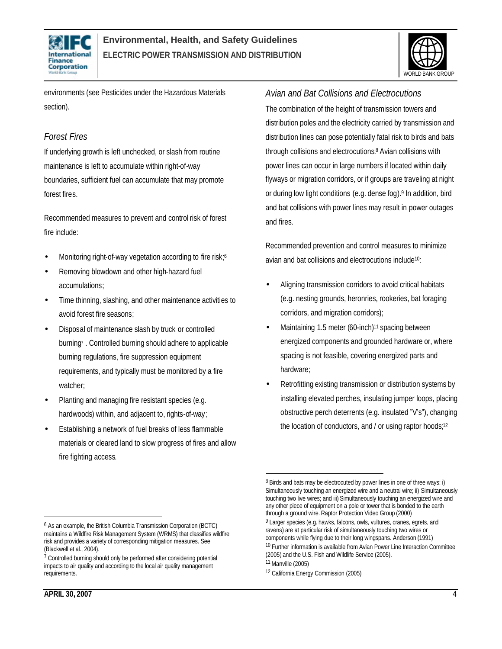



environments (see Pesticides under the Hazardous Materials section).

#### *Forest Fires*

If underlying growth is left unchecked, or slash from routine maintenance is left to accumulate within right-of-way boundaries, sufficient fuel can accumulate that may promote forest fires.

Recommended measures to prevent and control risk of forest fire include:

- Monitoring right-of-way vegetation according to fire risk;<sup>6</sup>
- Removing blowdown and other high-hazard fuel accumulations;
- Time thinning, slashing, and other maintenance activities to avoid forest fire seasons;
- Disposal of maintenance slash by truck or controlled burning<sup>7</sup>. Controlled burning should adhere to applicable burning regulations, fire suppression equipment requirements, and typically must be monitored by a fire watcher;
- Planting and managing fire resistant species (e.g. hardwoods) within, and adjacent to, rights-of-way;
- Establishing a network of fuel breaks of less flammable materials or cleared land to slow progress of fires and allow fire fighting access.

#### *Avian and Bat Collisions and Electrocutions*

The combination of the height of transmission towers and distribution poles and the electricity carried by transmission and distribution lines can pose potentially fatal risk to birds and bats through collisions and electrocutions. 8 Avian collisions with power lines can occur in large numbers if located within daily flyways or migration corridors, or if groups are traveling at night or during low light conditions (e.g. dense fog). 9 In addition, bird and bat collisions with power lines may result in power outages and fires.

Recommended prevention and control measures to minimize avian and bat collisions and electrocutions include10:

- Aligning transmission corridors to avoid critical habitats (e.g. nesting grounds, heronries, rookeries, bat foraging corridors, and migration corridors);
- Maintaining 1.5 meter (60-inch)<sup>11</sup> spacing between energized components and grounded hardware or, where spacing is not feasible, covering energized parts and hardware;
- Retrofitting existing transmission or distribution systems by installing elevated perches, insulating jumper loops, placing obstructive perch deterrents (e.g. insulated "V's"), changing the location of conductors, and / or using raptor hoods; 12

 $\overline{a}$ 

<sup>&</sup>lt;sup>8</sup> Birds and bats may be electrocuted by power lines in one of three ways: i) Simultaneously touching an energized wire and a neutral wire; ii) Simultaneously touching two live wires; and iii) Simultaneously touching an energized wire and any other piece of equipment on a pole or tower that is bonded to the earth through a ground wire. Raptor Protection Video Group (2000)

<sup>&</sup>lt;sup>9</sup> Larger species (e.g. hawks, falcons, owls, vultures, cranes, egrets, and ravens) are at particular risk of simultaneously touching two wires or components while flying due to their long wingspans. Anderson (1991) <sup>10</sup> Further information is available from Avian Power Line Interaction Committee (2005) and the U.S. Fish and Wildlife Service (2005).

<sup>11</sup> Manville (2005)

<sup>12</sup> California Energy Commission (2005)

<sup>6</sup> As an example, the British Columbia Transmission Corporation (BCTC) maintains a Wildfire Risk Management System (WRMS) that classifies wildfire risk and provides a variety of corresponding mitigation measures. See (Blackwell et al., 2004).

<sup>&</sup>lt;sup>7</sup> Controlled burning should only be performed after considering potential impacts to air quality and according to the local air quality management requirements.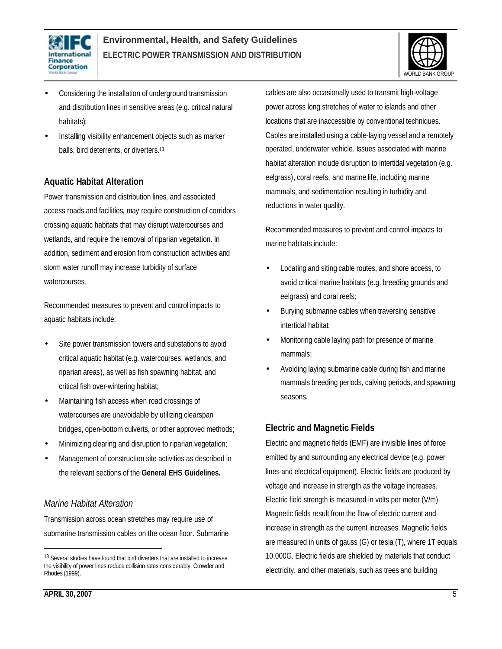



- Considering the installation of underground transmission and distribution lines in sensitive areas (e.g. critical natural habitats);
- Installing visibility enhancement objects such as marker balls, bird deterrents, or diverters. 13

#### **Aquatic Habitat Alteration**

Power transmission and distribution lines, and associated access roads and facilities, may require construction of corridors crossing aquatic habitats that may disrupt watercourses and wetlands, and require the removal of riparian vegetation. In addition, sediment and erosion from construction activities and storm water runoff may increase turbidity of surface watercourses.

Recommended measures to prevent and control impacts to aquatic habitats include:

- Site power transmission towers and substations to avoid critical aquatic habitat (e.g. watercourses, wetlands, and riparian areas), as well as fish spawning habitat, and critical fish over-wintering habitat;
- Maintaining fish access when road crossings of watercourses are unavoidable by utilizing clearspan bridges, open-bottom culverts, or other approved methods;
- Minimizing clearing and disruption to riparian vegetation;
- Management of construction site activities as described in the relevant sections of the **General EHS Guidelines.**

#### *Marine Habitat Alteration*

Transmission across ocean stretches may require use of submarine transmission cables on the ocean floor. Submarine cables are also occasionally used to transmit high-voltage power across long stretches of water to islands and other locations that are inaccessible by conventional techniques. Cables are installed using a cable-laying vessel and a remotely operated, underwater vehicle. Issues associated with marine habitat alteration include disruption to intertidal vegetation (e.g. eelgrass), coral reefs, and marine life, including marine mammals, and sedimentation resulting in turbidity and reductions in water quality.

Recommended measures to prevent and control impacts to marine habitats include:

- Locating and siting cable routes, and shore access, to avoid critical marine habitats (e.g. breeding grounds and eelgrass) and coral reefs;
- Burying submarine cables when traversing sensitive intertidal habitat;
- Monitoring cable laying path for presence of marine mammals;
- Avoiding laying submarine cable during fish and marine mammals breeding periods, calving periods, and spawning seasons.

#### **Electric and Magnetic Fields**

Electric and magnetic fields (EMF) are invisible lines of force emitted by and surrounding any electrical device (e.g. power lines and electrical equipment). Electric fields are produced by voltage and increase in strength as the voltage increases. Electric field strength is measured in volts per meter (V/m). Magnetic fields result from the flow of electric current and increase in strength as the current increases. Magnetic fields are measured in units of gauss (G) or tesla (T), where 1T equals 10,000G. Electric fields are shielded by materials that conduct electricity, and other materials, such as trees and building

<sup>13</sup> Several studies have found that bird diverters that are installed to increase the visibility of power lines reduce collision rates considerably. Crowder and Rhodes (1999).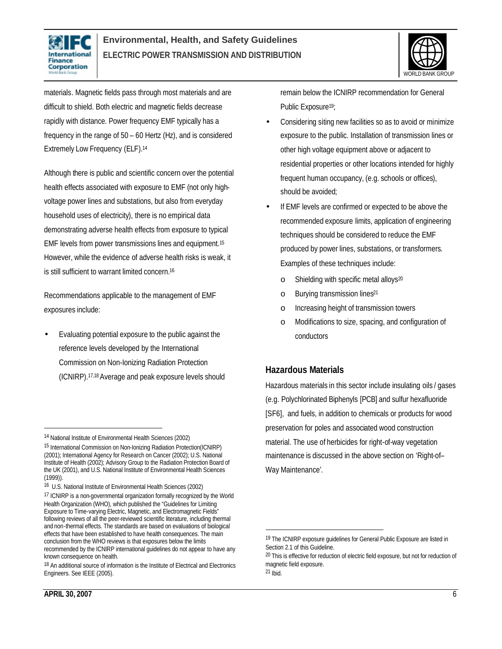



materials. Magnetic fields pass through most materials and are difficult to shield. Both electric and magnetic fields decrease rapidly with distance. Power frequency EMF typically has a frequency in the range of 50 – 60 Hertz (Hz), and is considered Extremely Low Frequency (ELF). 14

Although there is public and scientific concern over the potential health effects associated with exposure to EMF (not only highvoltage power lines and substations, but also from everyday household uses of electricity), there is no empirical data demonstrating adverse health effects from exposure to typical EMF levels from power transmissions lines and equipment.<sup>15</sup> However, while the evidence of adverse health risks is weak, it is still sufficient to warrant limited concern.<sup>16</sup>

Recommendations applicable to the management of EMF exposures include:

• Evaluating potential exposure to the public against the reference levels developed by the International Commission on Non-Ionizing Radiation Protection (ICNIRP).17,18Average and peak exposure levels should

- Considering siting new facilities so as to avoid or minimize exposure to the public. Installation of transmission lines or other high voltage equipment above or adjacent to residential properties or other locations intended for highly frequent human occupancy, (e.g. schools or offices), should be avoided;
- If EMF levels are confirmed or expected to be above the recommended exposure limits, application of engineering techniques should be considered to reduce the EMF produced by power lines, substations, or transformers. Examples of these techniques include:
	- o Shielding with specific metal alloys<sup>20</sup>
	- o Burying transmission lines<sup>21</sup>
	- o Increasing height of transmission towers
	- o Modifications to size, spacing, and configuration of conductors

#### **Hazardous Materials**

Hazardous materials in this sector include insulating oils / gases (e.g. Polychlorinated Biphenyls [PCB] and sulfur hexafluoride [SF6], and fuels, in addition to chemicals or products for wood preservation for poles and associated wood construction material. The use of herbicides for right-of-way vegetation maintenance is discussed in the above section on 'Right-of– Way Maintenance'.

21 Ibid.

<u>.</u>

<sup>14</sup> National Institute of Environmental Health Sciences (2002)

<sup>15</sup> International Commission on Non-Ionizing Radiation Protection(ICNIRP) (2001); International Agency for Research on Cancer (2002); U.S. National Institute of Health (2002); Advisory Group to the Radiation Protection Board of the UK (2001), and U.S. National Institute of Environmental Health Sciences (1999)).

<sup>16</sup> U.S. National Institute of Environmental Health Sciences (2002)

<sup>&</sup>lt;sup>17</sup> ICNIRP is a non-governmental organization formally recognized by the World Health Organization (WHO), which published the "Guidelines for Limiting Exposure to Time-varying Electric, Magnetic, and Electromagnetic Fields" following reviews of all the peer-reviewed scientific literature, including thermal and non-thermal effects. The standards are based on evaluations of biological effects that have been established to have health consequences. The main conclusion from the WHO reviews is that exposures below the limits recommended by the ICNIRP international guidelines do not appear to have any known consequence on health.

<sup>18</sup> An additional source of information is the Institute of Electrical and Electronics Engineers. See IEEE (2005).

<sup>&</sup>lt;sup>19</sup> The ICNIRP exposure quidelines for General Public Exposure are listed in Section 2.1 of this Guideline.

<sup>&</sup>lt;sup>20</sup> This is effective for reduction of electric field exposure, but not for reduction of magnetic field exposure.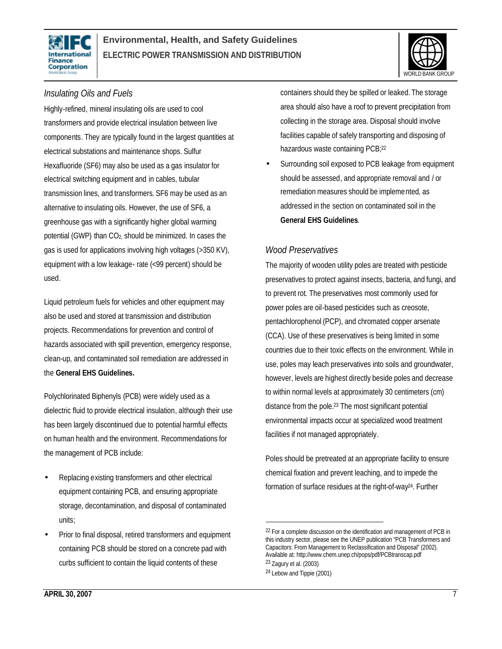



#### *Insulating Oils and Fuels*

Highly-refined, mineral insulating oils are used to cool transformers and provide electrical insulation between live components. They are typically found in the largest quantities at electrical substations and maintenance shops. Sulfur Hexafluoride (SF6) may also be used as a gas insulator for electrical switching equipment and in cables, tubular transmission lines, and transformers. SF6 may be used as an alternative to insulating oils. However, the use of SF6, a greenhouse gas with a significantly higher global warming potential (GWP) than CO2, should be minimized. In cases the gas is used for applications involving high voltages (>350 KV), equipment with a low leakage- rate (<99 percent) should be used.

Liquid petroleum fuels for vehicles and other equipment may also be used and stored at transmission and distribution projects. Recommendations for prevention and control of hazards associated with spill prevention, emergency response, clean-up, and contaminated soil remediation are addressed in the **General EHS Guidelines.**

Polychlorinated Biphenyls (PCB) were widely used as a dielectric fluid to provide electrical insulation, although their use has been largely discontinued due to potential harmful effects on human health and the environment. Recommendations for the management of PCB include:

- Replacing existing transformers and other electrical equipment containing PCB, and ensuring appropriate storage, decontamination, and disposal of contaminated units;
- Prior to final disposal, retired transformers and equipment containing PCB should be stored on a concrete pad with curbs sufficient to contain the liquid contents of these

containers should they be spilled or leaked. The storage area should also have a roof to prevent precipitation from collecting in the storage area. Disposal should involve facilities capable of safely transporting and disposing of hazardous waste containing PCB; 22

Surrounding soil exposed to PCB leakage from equipment should be assessed, and appropriate removal and / or remediation measures should be implemented, as addressed in the section on contaminated soil in the **General EHS Guidelines**.

#### *Wood Preservatives*

The majority of wooden utility poles are treated with pesticide preservatives to protect against insects, bacteria, and fungi, and to prevent rot. The preservatives most commonly used for power poles are oil-based pesticides such as creosote, pentachlorophenol (PCP), and chromated copper arsenate (CCA). Use of these preservatives is being limited in some countries due to their toxic effects on the environment. While in use, poles may leach preservatives into soils and groundwater, however, levels are highest directly beside poles and decrease to within normal levels at approximately 30 centimeters (cm) distance from the pole.<sup>23</sup> The most significant potential environmental impacts occur at specialized wood treatment facilities if not managed appropriately.

Poles should be pretreated at an appropriate facility to ensure chemical fixation and prevent leaching, and to impede the formation of surface residues at the right-of-way24. Further

<sup>&</sup>lt;sup>22</sup> For a complete discussion on the identification and management of PCB in this industry sector, please see the UNEP publication "PCB Transformers and Capacitors: From Management to Reclassification and Disposal" (2002). Available at: http://www.chem.unep.ch/pops/pdf/PCBtranscap.pdf 23 Zagury et al. (2003)

<sup>&</sup>lt;sup>24</sup> Lebow and Tippie (2001)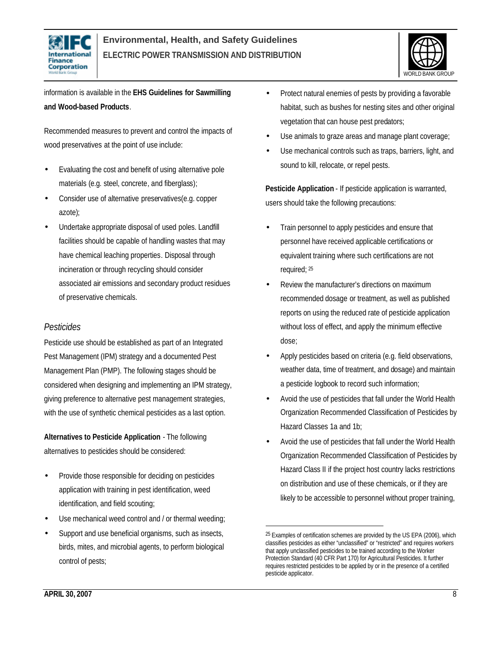



information is available in the **EHS Guidelines for Sawmilling and Wood-based Products**.

Recommended measures to prevent and control the impacts of wood preservatives at the point of use include:

- Evaluating the cost and benefit of using alternative pole materials (e.g. steel, concrete, and fiberglass);
- Consider use of alternative preservatives(e.g. copper azote);
- Undertake appropriate disposal of used poles. Landfill facilities should be capable of handling wastes that may have chemical leaching properties. Disposal through incineration or through recycling should consider associated air emissions and secondary product residues of preservative chemicals.

#### *Pesticides*

Pesticide use should be established as part of an Integrated Pest Management (IPM) strategy and a documented Pest Management Plan (PMP). The following stages should be considered when designing and implementing an IPM strategy, giving preference to alternative pest management strategies, with the use of synthetic chemical pesticides as a last option.

**Alternatives to Pesticide Application** - The following alternatives to pesticides should be considered:

- Provide those responsible for deciding on pesticides application with training in pest identification, weed identification, and field scouting;
- Use mechanical weed control and / or thermal weeding;
- Support and use beneficial organisms, such as insects, birds, mites, and microbial agents, to perform biological control of pests;
- Protect natural enemies of pests by providing a favorable habitat, such as bushes for nesting sites and other original vegetation that can house pest predators;
- Use animals to graze areas and manage plant coverage;
- Use mechanical controls such as traps, barriers, light, and sound to kill, relocate, or repel pests.

**Pesticide Application** - If pesticide application is warranted, users should take the following precautions:

- Train personnel to apply pesticides and ensure that personnel have received applicable certifications or equivalent training where such certifications are not required; <sup>25</sup>
- Review the manufacturer's directions on maximum recommended dosage or treatment, as well as published reports on using the reduced rate of pesticide application without loss of effect, and apply the minimum effective dose;
- Apply pesticides based on criteria (e.g. field observations, weather data, time of treatment, and dosage) and maintain a pesticide logbook to record such information;
- Avoid the use of pesticides that fall under the World Health Organization Recommended Classification of Pesticides by Hazard Classes 1a and 1b;
- Avoid the use of pesticides that fall under the World Health Organization Recommended Classification of Pesticides by Hazard Class II if the project host country lacks restrictions on distribution and use of these chemicals, or if they are likely to be accessible to personnel without proper training,

1

<sup>&</sup>lt;sup>25</sup> Examples of certification schemes are provided by the US EPA (2006), which classifies pesticides as either "unclassified" or "restricted" and requires workers that apply unclassified pesticides to be trained according to the Worker Protection Standard (40 CFR Part 170) for Agricultural Pesticides. It further requires restricted pesticides to be applied by or in the presence of a certified pesticide applicator.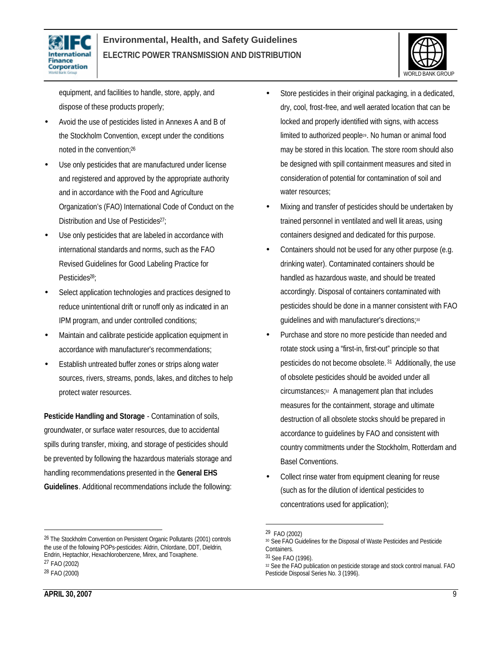



equipment, and facilities to handle, store, apply, and dispose of these products properly;

- Avoid the use of pesticides listed in Annexes A and B of the Stockholm Convention, except under the conditions noted in the convention;<sup>26</sup>
- Use only pesticides that are manufactured under license and registered and approved by the appropriate authority and in accordance with the Food and Agriculture Organization's (FAO) International Code of Conduct on the Distribution and Use of Pesticides<sup>27</sup>:
- Use only pesticides that are labeled in accordance with international standards and norms, such as the FAO Revised Guidelines for Good Labeling Practice for Pesticides<sup>28</sup>
- Select application technologies and practices designed to reduce unintentional drift or runoff only as indicated in an IPM program, and under controlled conditions;
- Maintain and calibrate pesticide application equipment in accordance with manufacturer's recommendations;
- Establish untreated buffer zones or strips along water sources, rivers, streams, ponds, lakes, and ditches to help protect water resources.

**Pesticide Handling and Storage** - Contamination of soils, groundwater, or surface water resources, due to accidental spills during transfer, mixing, and storage of pesticides should be prevented by following the hazardous materials storage and handling recommendations presented in the **General EHS Guidelines**. Additional recommendations include the following:

l

- Store pesticides in their original packaging, in a dedicated, dry, cool, frost-free, and well aerated location that can be locked and properly identified with signs, with access limited to authorized people29. No human or animal food may be stored in this location. The store room should also be designed with spill containment measures and sited in consideration of potential for contamination of soil and water resources;
- Mixing and transfer of pesticides should be undertaken by trained personnel in ventilated and well lit areas, using containers designed and dedicated for this purpose.
- Containers should not be used for any other purpose (e.g. drinking water). Contaminated containers should be handled as hazardous waste, and should be treated accordingly. Disposal of containers contaminated with pesticides should be done in a manner consistent with FAO guidelines and with manufacturer's directions;<sup>30</sup>
- Purchase and store no more pesticide than needed and rotate stock using a "first-in, first-out" principle so that pesticides do not become obsolete. <sup>31</sup> Additionally, the use of obsolete pesticides should be avoided under all circumstances;<sup>32</sup> A management plan that includes measures for the containment, storage and ultimate destruction of all obsolete stocks should be prepared in accordance to guidelines by FAO and consistent with country commitments under the Stockholm, Rotterdam and Basel Conventions.
- Collect rinse water from equipment cleaning for reuse (such as for the dilution of identical pesticides to concentrations used for application);

<u>.</u>

<sup>&</sup>lt;sup>26</sup> The Stockholm Convention on Persistent Organic Pollutants (2001) controls the use of the following POPs-pesticides: Aldrin, Chlordane, DDT, Dieldrin, Endrin, Heptachlor, Hexachlorobenzene, Mirex, and Toxaphene. 27 FAO (2002)

<sup>28</sup> FAO (2000)

<sup>29</sup> FAO (2002)

<sup>30</sup> See FAO Guidelines for the Disposal of Waste Pesticides and Pesticide Containers.

<sup>31</sup> See FAO (1996).

<sup>&</sup>lt;sup>32</sup> See the FAO publication on pesticide storage and stock control manual. FAO Pesticide Disposal Series No. 3 (1996).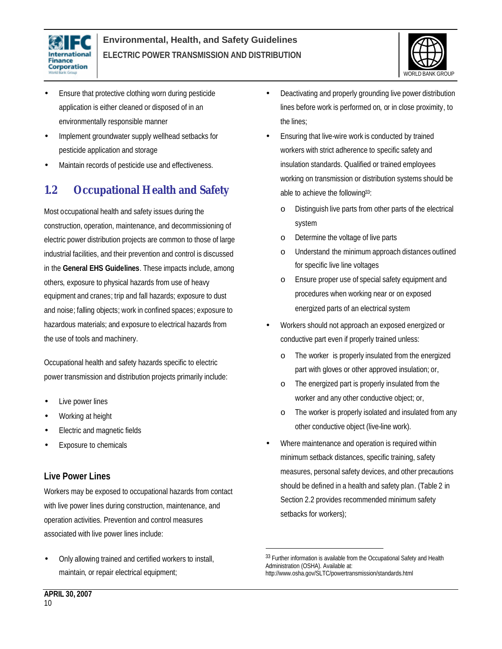



- Ensure that protective clothing worn during pesticide application is either cleaned or disposed of in an environmentally responsible manner
- Implement groundwater supply wellhead setbacks for pesticide application and storage
- Maintain records of pesticide use and effectiveness.

## **1.2 Occupational Health and Safety**

Most occupational health and safety issues during the construction, operation, maintenance, and decommissioning of electric power distribution projects are common to those of large industrial facilities, and their prevention and control is discussed in the **General EHS Guidelines**. These impacts include, among others, exposure to physical hazards from use of heavy equipment and cranes; trip and fall hazards; exposure to dust and noise; falling objects; work in confined spaces; exposure to hazardous materials; and exposure to electrical hazards from the use of tools and machinery.

Occupational health and safety hazards specific to electric power transmission and distribution projects primarily include:

- Live power lines
- Working at height
- Electric and magnetic fields
- Exposure to chemicals

#### **Live Power Lines**

Workers may be exposed to occupational hazards from contact with live power lines during construction, maintenance, and operation activities. Prevention and control measures associated with live power lines include:

• Only allowing trained and certified workers to install, maintain, or repair electrical equipment;

- Deactivating and properly grounding live power distribution lines before work is performed on, or in close proximity, to the lines;
- Ensuring that live-wire work is conducted by trained workers with strict adherence to specific safety and insulation standards. Qualified or trained employees working on transmission or distribution systems should be able to achieve the following<sup>33</sup>:
	- o Distinguish live parts from other parts of the electrical system
	- o Determine the voltage of live parts
	- o Understand the minimum approach distances outlined for specific live line voltages
	- o Ensure proper use of special safety equipment and procedures when working near or on exposed energized parts of an electrical system
- Workers should not approach an exposed energized or conductive part even if properly trained unless:
	- o The worker is properly insulated from the energized part with gloves or other approved insulation; or,
	- o The energized part is properly insulated from the worker and any other conductive object; or,
	- o The worker is properly isolated and insulated from any other conductive object (live-line work).
- Where maintenance and operation is required within minimum setback distances, specific training, safety measures, personal safety devices, and other precautions should be defined in a health and safety plan. (Table 2 in Section 2.2 provides recommended minimum safety setbacks for workers);

1

<sup>33</sup> Further information is available from the Occupational Safety and Health Administration (OSHA). Available at: http://www.osha.gov/SLTC/powertransmission/standards.html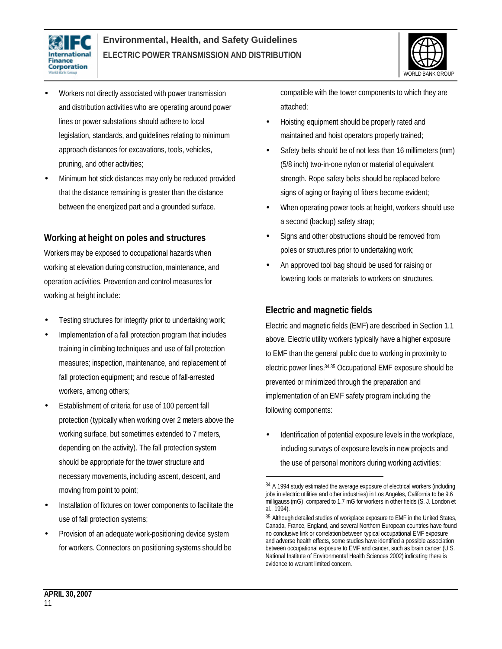



- Workers not directly associated with power transmission and distribution activities who are operating around power lines or power substations should adhere to local legislation, standards, and guidelines relating to minimum approach distances for excavations, tools, vehicles, pruning, and other activities;
- Minimum hot stick distances may only be reduced provided that the distance remaining is greater than the distance between the energized part and a grounded surface.

#### **Working at height on poles and structures**

Workers may be exposed to occupational hazards when working at elevation during construction, maintenance, and operation activities. Prevention and control measures for working at height include:

- Testing structures for integrity prior to undertaking work;
- Implementation of a fall protection program that includes training in climbing techniques and use of fall protection measures; inspection, maintenance, and replacement of fall protection equipment; and rescue of fall-arrested workers, among others;
- Establishment of criteria for use of 100 percent fall protection (typically when working over 2 meters above the working surface, but sometimes extended to 7 meters, depending on the activity). The fall protection system should be appropriate for the tower structure and necessary movements, including ascent, descent, and moving from point to point;
- Installation of fixtures on tower components to facilitate the use of fall protection systems;
- Provision of an adequate work-positioning device system for workers. Connectors on positioning systems should be

compatible with the tower components to which they are attached;

- Hoisting equipment should be properly rated and maintained and hoist operators properly trained;
- Safety belts should be of not less than 16 millimeters (mm) (5/8 inch) two-in-one nylon or material of equivalent strength. Rope safety belts should be replaced before signs of aging or fraying of fibers become evident;
- When operating power tools at height, workers should use a second (backup) safety strap;
- Signs and other obstructions should be removed from poles or structures prior to undertaking work;
- An approved tool bag should be used for raising or lowering tools or materials to workers on structures.

#### **Electric and magnetic fields**

1

Electric and magnetic fields (EMF) are described in Section 1.1 above. Electric utility workers typically have a higher exposure to EMF than the general public due to working in proximity to electric power lines.34,35 Occupational EMF exposure should be prevented or minimized through the preparation and implementation of an EMF safety program including the following components:

• Identification of potential exposure levels in the workplace, including surveys of exposure levels in new projects and the use of personal monitors during working activities;

<sup>&</sup>lt;sup>34</sup> A 1994 study estimated the average exposure of electrical workers (including jobs in electric utilities and other industries) in Los Angeles, California to be 9.6 milligauss (mG), compared to 1.7 mG for workers in other fields (S. J. London et al., 1994).

<sup>35</sup> Although detailed studies of workplace exposure to EMF in the United States, Canada, France, England, and several Northern European countries have found no conclusive link or correlation between typical occupational EMF exposure and adverse health effects, some studies have identified a possible association between occupational exposure to EMF and cancer, such as brain cancer (U.S. National Institute of Environmental Health Sciences 2002) indicating there is evidence to warrant limited concern.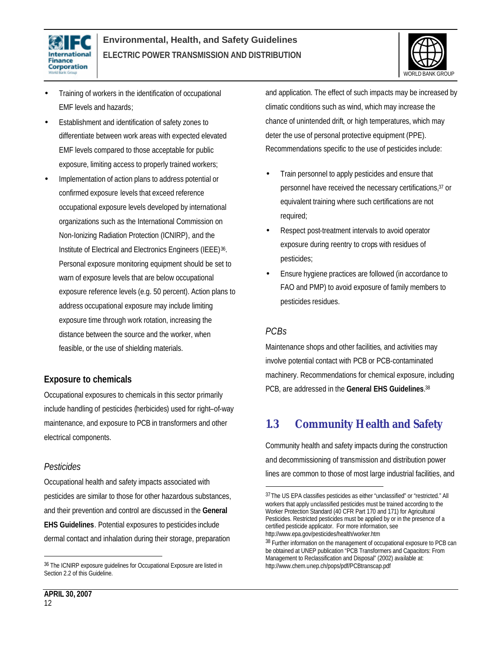



- Training of workers in the identification of occupational EMF levels and hazards;
- Establishment and identification of safety zones to differentiate between work areas with expected elevated EMF levels compared to those acceptable for public exposure, limiting access to properly trained workers;
- Implementation of action plans to address potential or confirmed exposure levels that exceed reference occupational exposure levels developed by international organizations such as the International Commission on Non-Ionizing Radiation Protection (ICNIRP), and the Institute of Electrical and Electronics Engineers (IEEE)<sup>36</sup>. Personal exposure monitoring equipment should be set to warn of exposure levels that are below occupational exposure reference levels (e.g. 50 percent). Action plans to address occupational exposure may include limiting exposure time through work rotation, increasing the distance between the source and the worker, when feasible, or the use of shielding materials.

#### **Exposure to chemicals**

Occupational exposures to chemicals in this sector primarily include handling of pesticides (herbicides) used for right–of-way maintenance, and exposure to PCB in transformers and other electrical components.

#### *Pesticides*

Occupational health and safety impacts associated with pesticides are similar to those for other hazardous substances, and their prevention and control are discussed in the **General EHS Guidelines**. Potential exposures to pesticides include dermal contact and inhalation during their storage, preparation

and application. The effect of such impacts may be increased by climatic conditions such as wind, which may increase the chance of unintended drift, or high temperatures, which may deter the use of personal protective equipment (PPE). Recommendations specific to the use of pesticides include:

- Train personnel to apply pesticides and ensure that personnel have received the necessary certifications,37 or equivalent training where such certifications are not required;
- Respect post-treatment intervals to avoid operator exposure during reentry to crops with residues of pesticides;
- Ensure hygiene practices are followed (in accordance to FAO and PMP) to avoid exposure of family members to pesticides residues.

### *PCBs*

 $\overline{a}$ 

Maintenance shops and other facilities, and activities may involve potential contact with PCB or PCB-contaminated machinery. Recommendations for chemical exposure, including PCB, are addressed in the **General EHS Guidelines**. 38

### **1.3 Community Health and Safety**

Community health and safety impacts during the construction and decommissioning of transmission and distribution power lines are common to those of most large industrial facilities, and

<sup>36</sup> The ICNIRP exposure guidelines for Occupational Exposure are listed in Section 2.2 of this Guideline.

<sup>37</sup> The US EPA classifies pesticides as either "unclassified" or "restricted." All workers that apply unclassified pesticides must be trained according to the Worker Protection Standard (40 CFR Part 170 and 171) for Agricultural Pesticides. Restricted pesticides must be applied by or in the presence of a certified pesticide applicator. For more information, see http://www.epa.gov/pesticides/health/worker.htm

<sup>38</sup> Further information on the management of occupational exposure to PCB can be obtained at UNEP publication "PCB Transformers and Capacitors: From Management to Reclassification and Disposal" (2002) available at: http://www.chem.unep.ch/pops/pdf/PCBtranscap.pdf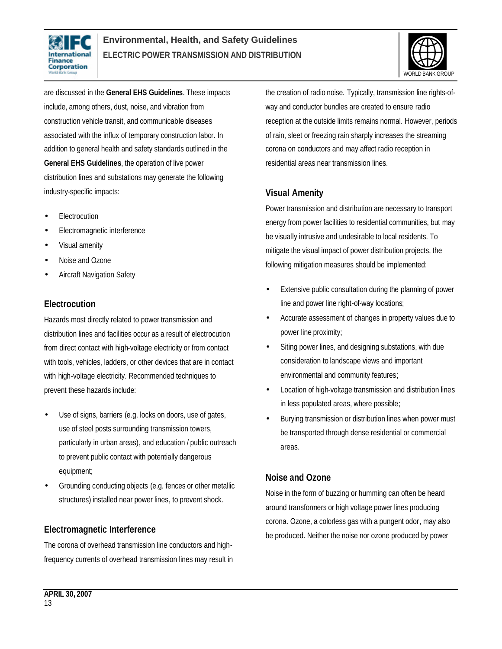



are discussed in the **General EHS Guidelines**. These impacts include, among others, dust, noise, and vibration from construction vehicle transit, and communicable diseases associated with the influx of temporary construction labor. In addition to general health and safety standards outlined in the **General EHS Guidelines**, the operation of live power distribution lines and substations may generate the following industry-specific impacts:

- **Electrocution**
- Electromagnetic interference
- Visual amenity
- Noise and Ozone
- Aircraft Navigation Safety

#### **Electrocution**

Hazards most directly related to power transmission and distribution lines and facilities occur as a result of electrocution from direct contact with high-voltage electricity or from contact with tools, vehicles, ladders, or other devices that are in contact with high-voltage electricity. Recommended techniques to prevent these hazards include:

- Use of signs, barriers (e.g. locks on doors, use of gates, use of steel posts surrounding transmission towers, particularly in urban areas), and education / public outreach to prevent public contact with potentially dangerous equipment;
- Grounding conducting objects (e.g. fences or other metallic structures) installed near power lines, to prevent shock.

#### **Electromagnetic Interference**

The corona of overhead transmission line conductors and highfrequency currents of overhead transmission lines may result in the creation of radio noise. Typically, transmission line rights-ofway and conductor bundles are created to ensure radio reception at the outside limits remains normal. However, periods of rain, sleet or freezing rain sharply increases the streaming corona on conductors and may affect radio reception in residential areas near transmission lines.

#### **Visual Amenity**

Power transmission and distribution are necessary to transport energy from power facilities to residential communities, but may be visually intrusive and undesirable to local residents. To mitigate the visual impact of power distribution projects, the following mitigation measures should be implemented:

- Extensive public consultation during the planning of power line and power line right-of-way locations;
- Accurate assessment of changes in property values due to power line proximity;
- Siting power lines, and designing substations, with due consideration to landscape views and important environmental and community features;
- Location of high-voltage transmission and distribution lines in less populated areas, where possible;
- Burying transmission or distribution lines when power must be transported through dense residential or commercial areas.

#### **Noise and Ozone**

Noise in the form of buzzing or humming can often be heard around transformers or high voltage power lines producing corona. Ozone, a colorless gas with a pungent odor, may also be produced. Neither the noise nor ozone produced by power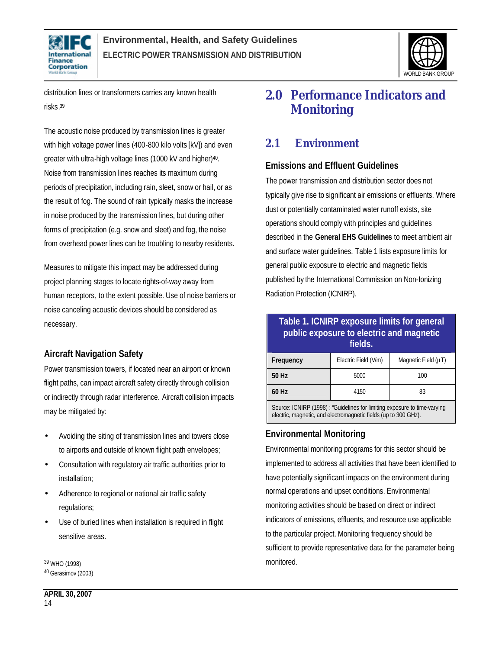



distribution lines or transformers carries any known health risks. 39

The acoustic noise produced by transmission lines is greater with high voltage power lines (400-800 kilo volts [kV]) and even greater with ultra-high voltage lines (1000 kV and higher)<sup>40</sup>. Noise from transmission lines reaches its maximum during periods of precipitation, including rain, sleet, snow or hail, or as the result of fog. The sound of rain typically masks the increase in noise produced by the transmission lines, but during other forms of precipitation (e.g. snow and sleet) and fog, the noise from overhead power lines can be troubling to nearby residents.

Measures to mitigate this impact may be addressed during project planning stages to locate rights-of-way away from human receptors, to the extent possible. Use of noise barriers or noise canceling acoustic devices should be considered as necessary.

#### **Aircraft Navigation Safety**

Power transmission towers, if located near an airport or known flight paths, can impact aircraft safety directly through collision or indirectly through radar interference. Aircraft collision impacts may be mitigated by:

- Avoiding the siting of transmission lines and towers close to airports and outside of known flight path envelopes;
- Consultation with regulatory air traffic authorities prior to installation;
- Adherence to regional or national air traffic safety regulations;
- Use of buried lines when installation is required in flight sensitive areas.

39 WHO (1998) 40 Gerasimov (2003)

 $\overline{a}$ 

## **2.0 Performance Indicators and Monitoring**

### **2.1 Environment**

#### **Emissions and Effluent Guidelines**

The power transmission and distribution sector does not typically give rise to significant air emissions or effluents. Where dust or potentially contaminated water runoff exists, site operations should comply with principles and guidelines described in the **General EHS Guidelines** to meet ambient air and surface water guidelines. Table 1 lists exposure limits for general public exposure to electric and magnetic fields published by the International Commission on Non-Ionizing Radiation Protection (ICNIRP).

#### **Table 1. ICNIRP exposure limits for general public exposure to electric and magnetic fields.**

| Frequency | Electric Field (V/m) | Magnetic Field (µT) |
|-----------|----------------------|---------------------|
| 50 Hz     | 5000                 | 100                 |
| 60 Hz     | 4150                 | 83                  |

Source: ICNIRP (1998) : "Guidelines for limiting exposure to time-varying electric, magnetic, and electromagnetic fields (up to 300 GHz).

#### **Environmental Monitoring**

Environmental monitoring programs for this sector should be implemented to address all activities that have been identified to have potentially significant impacts on the environment during normal operations and upset conditions. Environmental monitoring activities should be based on direct or indirect indicators of emissions, effluents, and resource use applicable to the particular project. Monitoring frequency should be sufficient to provide representative data for the parameter being monitored.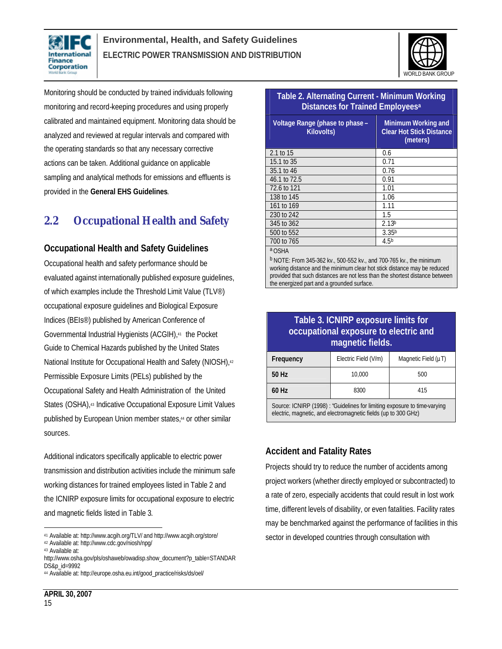



Monitoring should be conducted by trained individuals following monitoring and record-keeping procedures and using properly calibrated and maintained equipment. Monitoring data should be analyzed and reviewed at regular intervals and compared with the operating standards so that any necessary corrective actions can be taken. Additional guidance on applicable sampling and analytical methods for emissions and effluents is provided in the **General EHS Guidelines**.

### **2.2 Occupational Health and Safety**

#### **Occupational Health and Safety Guidelines**

Occupational health and safety performance should be evaluated against internationally published exposure guidelines, of which examples include the Threshold Limit Value (TLV®) occupational exposure guidelines and Biological Exposure Indices (BEIs®) published by American Conference of Governmental Industrial Hygienists (ACGIH),41 the Pocket Guide to Chemical Hazards published by the United States National Institute for Occupational Health and Safety (NIOSH),<sup>42</sup> Permissible Exposure Limits (PELs) published by the Occupational Safety and Health Administration of the United States (OSHA),<sup>43</sup> Indicative Occupational Exposure Limit Values published by European Union member states,<sup>44</sup> or other similar sources.

Additional indicators specifically applicable to electric power transmission and distribution activities include the minimum safe working distances for trained employees listed in Table 2 and the ICNIRP exposure limits for occupational exposure to electric and magnetic fields listed in Table 3.

| Table 2. Alternating Current - Minimum Working |  |  |
|------------------------------------------------|--|--|
| Distances for Trained Employees <sup>a</sup>   |  |  |

| Voltage Range (phase to phase -<br><b>Kilovolts)</b> | Minimum Working and<br><b>Clear Hot Stick Distance</b><br>(meters) |
|------------------------------------------------------|--------------------------------------------------------------------|
| 2.1 to 15                                            | 0.6                                                                |
| 15.1 to 35                                           | 0.71                                                               |
| 35.1 to 46                                           | 0.76                                                               |
| 46.1 to 72.5                                         | 0.91                                                               |
| 72.6 to 121                                          | 1.01                                                               |
| 138 to 145                                           | 1.06                                                               |
| 161 to 169                                           | 1.11                                                               |
| 230 to 242                                           | 1.5                                                                |
| 345 to 362                                           | 2.13 <sup>b</sup>                                                  |
| 500 to 552                                           | 3.35 <sup>b</sup>                                                  |
| 700 to 765                                           | 4.5 <sup>b</sup>                                                   |
| a OSHA                                               |                                                                    |

b NOTE: From 345-362 kv., 500-552 kv., and 700-765 kv., the minimum working distance and the minimum clear hot stick distance may be reduced provided that such distances are not less than the shortest distance between the energized part and a grounded surface.

#### **Table 3. ICNIRP exposure limits for occupational exposure to electric and magnetic fields.**

| Frequency                                                                                                                                   | Electric Field (V/m) | Magnetic Field $(\mu T)$ |  |
|---------------------------------------------------------------------------------------------------------------------------------------------|----------------------|--------------------------|--|
| 50 Hz                                                                                                                                       | 10,000               | 500                      |  |
| 60 Hz                                                                                                                                       | 8300                 | 415                      |  |
| Source: ICNIRP (1998) : "Guidelines for limiting exposure to time-varying<br>electric, magnetic, and electromagnetic fields (up to 300 GHz) |                      |                          |  |

#### **Accident and Fatality Rates**

Projects should try to reduce the number of accidents among project workers (whether directly employed or subcontracted) to a rate of zero, especially accidents that could result in lost work time, different levels of disability, or even fatalities. Facility rates may be benchmarked against the performance of facilities in this sector in developed countries through consultation with

<sup>41</sup> Available at: http://www.acgih.org/TLV/ and http://www.acgih.org/store/

<sup>42</sup> Available at: http://www.cdc.gov/niosh/npg/

<sup>43</sup> Available at:

http://www.osha.gov/pls/oshaweb/owadisp.show\_document?p\_table=STANDAR DS&p\_id=9992

<sup>44</sup> Available at: http://europe.osha.eu.int/good\_practice/risks/ds/oel/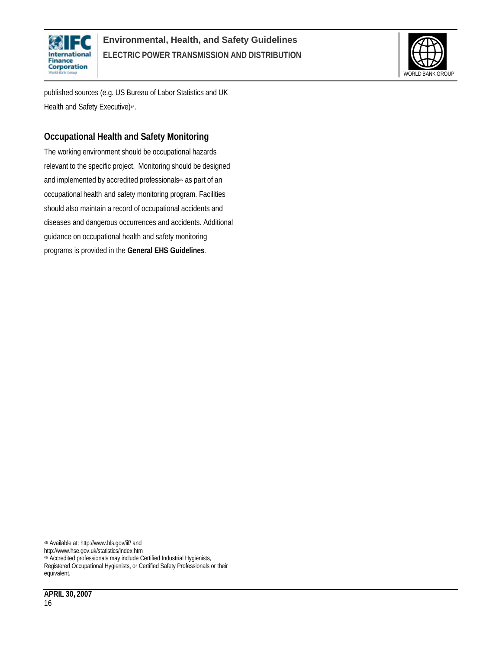



published sources (e.g. US Bureau of Labor Statistics and UK Health and Safety Executive)<sup>45</sup>.

### **Occupational Health and Safety Monitoring**

The working environment should be occupational hazards relevant to the specific project. Monitoring should be designed and implemented by accredited professionals<sup>46</sup> as part of an occupational health and safety monitoring program. Facilities should also maintain a record of occupational accidents and diseases and dangerous occurrences and accidents. Additional guidance on occupational health and safety monitoring programs is provided in the **General EHS Guidelines**.

<sup>45</sup> Available at: http://www.bls.gov/iif/ and

http://www.hse.gov.uk/statistics/index.htm

<sup>46</sup> Accredited professionals may include Certified Industrial Hygienists,

Registered Occupational Hygienists, or Certified Safety Professionals or their equivalent.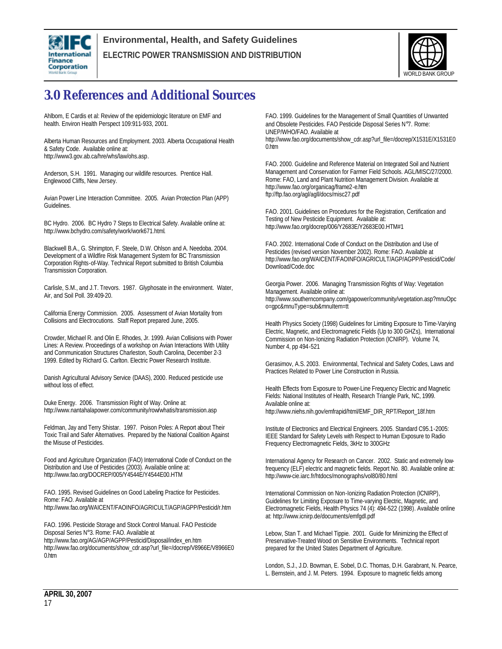

**Environmental, Health, and Safety Guidelines ELECTRIC POWER TRANSMISSION AND DISTRIBUTION**



# **3.0 References and Additional Sources**

Ahlbom, E Cardis et al: Review of the epidemiologic literature on EMF and health. Environ Health Perspect 109:911-933, 2001.

Alberta Human Resources and Employment. 2003. Alberta Occupational Health & Safety Code. Available online at: http://www3.gov.ab.ca/hre/whs/law/ohs.asp.

Anderson, S.H. 1991. Managing our wildlife resources. Prentice Hall. Englewood Cliffs, New Jersey.

Avian Power Line Interaction Committee. 2005. Avian Protection Plan (APP) Guidelines.

BC Hydro. 2006. BC Hydro 7 Steps to Electrical Safety. Available online at: http://www.bchydro.com/safety/work/work671.html.

Blackwell B.A., G. Shrimpton, F. Steele, D.W. Ohlson and A. Needoba. 2004. Development of a Wildfire Risk Management System for BC Transmission Corporation Rights-of-Way. Technical Report submitted to British Columbia Transmission Corporation.

Carlisle, S.M., and J.T. Trevors. 1987. Glyphosate in the environment. Water, Air, and Soil Poll. 39:409-20.

California Energy Commission. 2005. Assessment of Avian Mortality from Collisions and Electrocutions. Staff Report prepared June, 2005.

Crowder, Michael R. and Olin E. Rhodes, Jr. 1999. Avian Collisions with Power Lines: A Review. Proceedings of a workshop on Avian Interactions With Utility and Communication Structures Charleston, South Carolina, December 2-3 1999. Edited by Richard G. Carlton. Electric Power Research Institute.

Danish Agricultural Advisory Service (DAAS), 2000. Reduced pesticide use without loss of effect.

Duke Energy. 2006. Transmission Right of Way. Online at: http://www.nantahalapower.com/community/row/whatis/transmission.asp

Feldman, Jay and Terry Shistar. 1997. Poison Poles: A Report about Their Toxic Trail and Safer Alternatives. Prepared by the National Coalition Against the Misuse of Pesticides.

Food and Agriculture Organization (FAO) International Code of Conduct on the Distribution and Use of Pesticides (2003). Available online at: http://www.fao.org/DOCREP/005/Y4544E/Y4544E00.HTM

FAO. 1995. Revised Guidelines on Good Labeling Practice for Pesticides. Rome: FAO. Available at http://www.fao.org/WAICENT/FAOINFO/AGRICULT/AGP/AGPP/Pesticid/r.htm

FAO. 1996. Pesticide Storage and Stock Control Manual. FAO Pesticide Disposal Series N°3. Rome: FAO. Available at http://www.fao.org/AG/AGP/AGPP/Pesticid/Disposal/index\_en.htm http://www.fao.org/documents/show\_cdr.asp?url\_file=/docrep/V8966E/V8966E0 0.htm

FAO. 1999. Guidelines for the Management of Small Quantities of Unwanted and Obsolete Pesticides. FAO Pesticide Disposal Series N°7. Rome: UNEP/WHO/FAO. Available at http://www.fao.org/documents/show\_cdr.asp?url\_file=/docrep/X1531E/X1531E0 0.htm

FAO. 2000. Guideline and Reference Material on Integrated Soil and Nutrient Management and Conservation for Farmer Field Schools. AGL/MISC/27/2000. Rome: FAO, Land and Plant Nutrition Management Division. Available at http://www.fao.org/organicag/frame2-e.htm ftp://ftp.fao.org/agl/agll/docs/misc27.pdf

FAO. 2001. Guidelines on Procedures for the Registration, Certification and Testing of New Pesticide Equipment. Available at: http://www.fao.org/docrep/006/Y2683E/Y2683E00.HTM#1

FAO. 2002. International Code of Conduct on the Distribution and Use of Pesticides (revised version November 2002). Rome: FAO. Available at http://www.fao.org/WAICENT/FAOINFO/AGRICULT/AGP/AGPP/Pesticid/Code/ Download/Code.doc

Georgia Power. 2006. Managing Transmission Rights of Way: Vegetation Management. Available online at: http://www.southerncompany.com/gapower/community/vegetation.asp?mnuOpc o=gpc&mnuType=sub&mnuItem=tt

Health Physics Society (1998) Guidelines for Limiting Exposure to Time-Varying Electric, Magnetic, and Electromagnetic Fields (Up to 300 GHZs), International Commission on Non-Ionizing Radiation Protection (ICNIRP). Volume 74, Number 4, pp 494-521

Gerasimov, A.S. 2003. Environmental, Technical and Safety Codes, Laws and Practices Related to Power Line Construction in Russia.

Health Effects from Exposure to Power-Line Frequency Electric and Magnetic Fields: National Institutes of Health, Research Triangle Park, NC, 1999. Available online at: http://www.niehs.nih.gov/emfrapid/html/EMF\_DIR\_RPT/Report\_18f.htm

Institute of Electronics and Electrical Engineers. 2005. Standard C95.1-2005: IEEE Standard for Safety Levels with Respect to Human Exposure to Radio Frequency Electromagnetic Fields, 3kHz to 300GHz

International Agency for Research on Cancer. 2002. Static and extremely lowfrequency (ELF) electric and magnetic fields. Report No. 80. Available online at: http://www-cie.iarc.fr/htdocs/monographs/vol80/80.html

International Commission on Non-Ionizing Radiation Protection (ICNIRP), Guidelines for Limiting Exposure to Time-varying Electric, Magnetic, and Electromagnetic Fields, Health Physics 74 (4): 494-522 (1998). Available online at: http://www.icnirp.de/documents/emfgdl.pdf

Lebow, Stan T. and Michael Tippie. 2001. Guide for Minimizing the Effect of Preservative-Treated Wood on Sensitive Environments. Technical report prepared for the United States Department of Agriculture.

London, S.J., J.D. Bowman, E. Sobel, D.C. Thomas, D.H. Garabrant, N. Pearce, L. Bernstein, and J. M. Peters. 1994. Exposure to magnetic fields among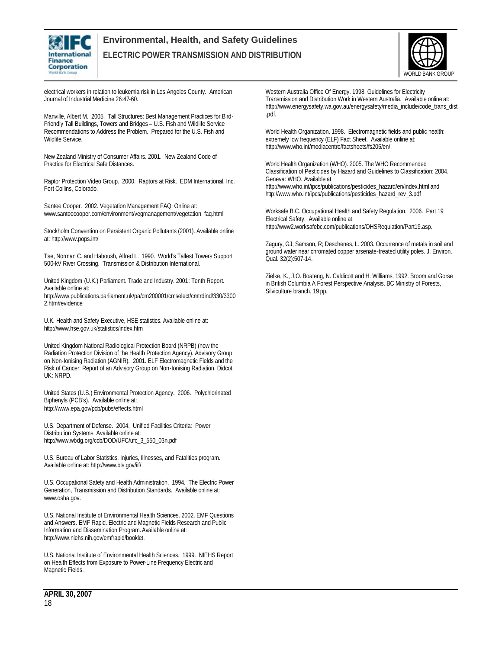

### **Environmental, Health, and Safety Guidelines ELECTRIC POWER TRANSMISSION AND DISTRIBUTION**



electrical workers in relation to leukemia risk in Los Angeles County. American Journal of Industrial Medicine 26:47-60.

Manville, Albert M. 2005. Tall Structures: Best Management Practices for Bird-Friendly Tall Buildings, Towers and Bridges – U.S. Fish and Wildlife Service Recommendations to Address the Problem. Prepared for the U.S. Fish and Wildlife Service.

New Zealand Ministry of Consumer Affairs. 2001. New Zealand Code of Practice for Electrical Safe Distances.

Raptor Protection Video Group. 2000. Raptors at Risk. EDM International, Inc. Fort Collins, Colorado.

Santee Cooper. 2002. Vegetation Management FAQ. Online at: www.santeecooper.com/environment/vegmanagement/vegetation\_faq.html

Stockholm Convention on Persistent Organic Pollutants (2001). Available online at: http://www.pops.int/

Tse, Norman C. and Haboush, Alfred L. 1990. World's Tallest Towers Support 500-kV River Crossing. Transmission & Distribution International.

United Kingdom (U.K.) Parliament. Trade and Industry. 2001: Tenth Report. Available online at:

http://www.publications.parliament.uk/pa/cm200001/cmselect/cmtrdind/330/3300 2.htm#evidence

U.K. Health and Safety Executive, HSE statistics. Available online at: http://www.hse.gov.uk/statistics/index.htm

United Kingdom National Radiological Protection Board (NRPB) (now the Radiation Protection Division of the Health Protection Agency). Advisory Group on Non-Ionising Radiation (AGNIR). 2001. ELF Electromagnetic Fields and the Risk of Cancer: Report of an Advisory Group on Non-Ionising Radiation. Didcot, UK: NRPD.

United States (U.S.) Environmental Protection Agency. 2006. Polychlorinated Biphenyls (PCB's). Available online at: http://www.epa.gov/pcb/pubs/effects.html

U.S. Department of Defense. 2004. Unified Facilities Criteria: Power Distribution Systems. Available online at: http://www.wbdg.org/ccb/DOD/UFC/ufc\_3\_550\_03n.pdf

U.S. Bureau of Labor Statistics. Injuries, Illnesses, and Fatalities program. Available online at: http://www.bls.gov/iif/

U.S. Occupational Safety and Health Administration. 1994. The Electric Power Generation, Transmission and Distribution Standards. Available online at: www.osha.gov.

U.S. National Institute of Environmental Health Sciences. 2002. EMF Questions and Answers. EMF Rapid. Electric and Magnetic Fields Research and Public Information and Dissemination Program.Available online at: http://www.niehs.nih.gov/emfrapid/booklet.

U.S. National Institute of Environmental Health Sciences. 1999. NIEHS Report on Health Effects from Exposure to Power-Line Frequency Electric and Magnetic Fields.

Western Australia Office Of Energy. 1998. Guidelines for Electricity Transmission and Distribution Work in Western Australia. Available online at: http://www.energysafety.wa.gov.au/energysafety/media\_include/code\_trans\_dist .pdf.

World Health Organization. 1998. Electromagnetic fields and public health: extremely low frequency (ELF) Fact Sheet. Available online at: http://www.who.int/mediacentre/factsheets/fs205/en/.

World Health Organization (WHO). 2005. The WHO Recommended Classification of Pesticides by Hazard and Guidelines to Classification: 2004. Geneva: WHO. Available at http://www.who.int/ipcs/publications/pesticides\_hazard/en/index.html and http://www.who.int/ipcs/publications/pesticides\_hazard\_rev\_3.pdf

Worksafe B.C. Occupational Health and Safety Regulation. 2006. Part 19 Electrical Safety. Available online at: http://www2.worksafebc.com/publications/OHSRegulation/Part19.asp.

Zagury, GJ; Samson, R; Deschenes, L. 2003. Occurrence of metals in soil and ground water near chromated copper arsenate-treated utility poles. J. Environ. Qual. 32(2):507-14.

Zielke, K., J.O. Boateng, N. Caldicott and H. Williams. 1992. Broom and Gorse in British Columbia A Forest Perspective Analysis. BC Ministry of Forests, Silviculture branch. 19 pp.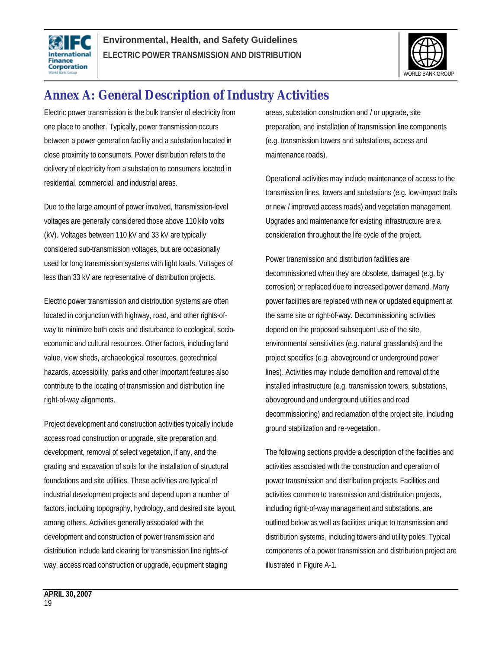



# **Annex A: General Description of Industry Activities**

Electric power transmission is the bulk transfer of electricity from one place to another. Typically, power transmission occurs between a power generation facility and a substation located in close proximity to consumers. Power distribution refers to the delivery of electricity from a substation to consumers located in residential, commercial, and industrial areas.

Due to the large amount of power involved, transmission-level voltages are generally considered those above 110 kilo volts (kV). Voltages between 110 kV and 33 kV are typically considered sub-transmission voltages, but are occasionally used for long transmission systems with light loads. Voltages of less than 33 kV are representative of distribution projects.

Electric power transmission and distribution systems are often located in conjunction with highway, road, and other rights-ofway to minimize both costs and disturbance to ecological, socioeconomic and cultural resources. Other factors, including land value, view sheds, archaeological resources, geotechnical hazards, accessibility, parks and other important features also contribute to the locating of transmission and distribution line right-of-way alignments.

Project development and construction activities typically include access road construction or upgrade, site preparation and development, removal of select vegetation, if any, and the grading and excavation of soils for the installation of structural foundations and site utilities. These activities are typical of industrial development projects and depend upon a number of factors, including topography, hydrology, and desired site layout, among others. Activities generally associated with the development and construction of power transmission and distribution include land clearing for transmission line rights-of way, access road construction or upgrade, equipment staging

areas, substation construction and / or upgrade, site preparation, and installation of transmission line components (e.g. transmission towers and substations, access and maintenance roads).

Operational activities may include maintenance of access to the transmission lines, towers and substations (e.g. low-impact trails or new / improved access roads) and vegetation management. Upgrades and maintenance for existing infrastructure are a consideration throughout the life cycle of the project.

Power transmission and distribution facilities are decommissioned when they are obsolete, damaged (e.g. by corrosion) or replaced due to increased power demand. Many power facilities are replaced with new or updated equipment at the same site or right-of-way. Decommissioning activities depend on the proposed subsequent use of the site, environmental sensitivities (e.g. natural grasslands) and the project specifics (e.g. aboveground or underground power lines). Activities may include demolition and removal of the installed infrastructure (e.g. transmission towers, substations, aboveground and underground utilities and road decommissioning) and reclamation of the project site, including ground stabilization and re-vegetation.

The following sections provide a description of the facilities and activities associated with the construction and operation of power transmission and distribution projects. Facilities and activities common to transmission and distribution projects, including right-of-way management and substations, are outlined below as well as facilities unique to transmission and distribution systems, including towers and utility poles. Typical components of a power transmission and distribution project are illustrated in Figure A-1.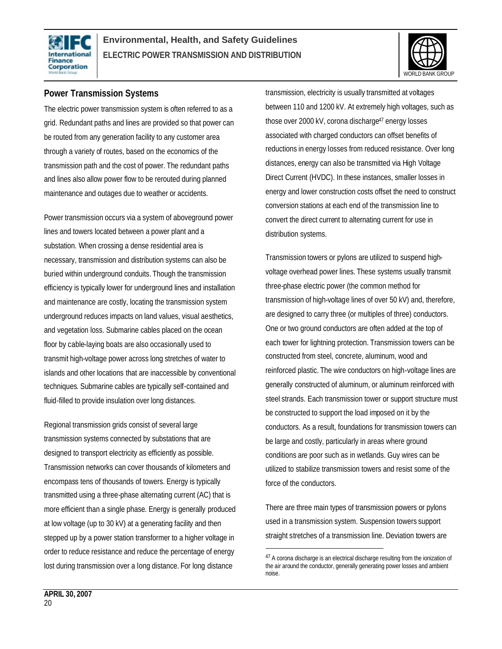



#### **Power Transmission Systems**

The electric power transmission system is often referred to as a grid. Redundant paths and lines are provided so that power can be routed from any generation facility to any customer area through a variety of routes, based on the economics of the transmission path and the cost of power. The redundant paths and lines also allow power flow to be rerouted during planned maintenance and outages due to weather or accidents.

Power transmission occurs via a system of aboveground power lines and towers located between a power plant and a substation. When crossing a dense residential area is necessary, transmission and distribution systems can also be buried within underground conduits. Though the transmission efficiency is typically lower for underground lines and installation and maintenance are costly, locating the transmission system underground reduces impacts on land values, visual aesthetics, and vegetation loss. Submarine cables placed on the ocean floor by cable-laying boats are also occasionally used to transmit high-voltage power across long stretches of water to islands and other locations that are inaccessible by conventional techniques. Submarine cables are typically self-contained and fluid-filled to provide insulation over long distances.

Regional transmission grids consist of several large transmission systems connected by substations that are designed to transport electricity as efficiently as possible. Transmission networks can cover thousands of kilometers and encompass tens of thousands of towers. Energy is typically transmitted using a three-phase alternating current (AC) that is more efficient than a single phase. Energy is generally produced at low voltage (up to 30 kV) at a generating facility and then stepped up by a power station transformer to a higher voltage in order to reduce resistance and reduce the percentage of energy lost during transmission over a long distance. For long distance

transmission, electricity is usually transmitted at voltages between 110 and 1200 kV. At extremely high voltages, such as those over 2000 kV, corona discharge<sup>47</sup> energy losses associated with charged conductors can offset benefits of reductions in energy losses from reduced resistance. Over long distances, energy can also be transmitted via High Voltage Direct Current (HVDC). In these instances, smaller losses in energy and lower construction costs offset the need to construct conversion stations at each end of the transmission line to convert the direct current to alternating current for use in distribution systems.

Transmission towers or pylons are utilized to suspend highvoltage overhead power lines. These systems usually transmit three-phase electric power (the common method for transmission of high-voltage lines of over 50 kV) and, therefore, are designed to carry three (or multiples of three) conductors. One or two ground conductors are often added at the top of each tower for lightning protection. Transmission towers can be constructed from steel, concrete, aluminum, wood and reinforced plastic. The wire conductors on high-voltage lines are generally constructed of aluminum, or aluminum reinforced with steel strands. Each transmission tower or support structure must be constructed to support the load imposed on it by the conductors. As a result, foundations for transmission towers can be large and costly, particularly in areas where ground conditions are poor such as in wetlands. Guy wires can be utilized to stabilize transmission towers and resist some of the force of the conductors.

There are three main types of transmission powers or pylons used in a transmission system. Suspension towers support straight stretches of a transmission line. Deviation towers are

1

<sup>47</sup> A corona discharge is an electrical discharge resulting from the ionization of the air around the conductor, generally generating power losses and ambient noise.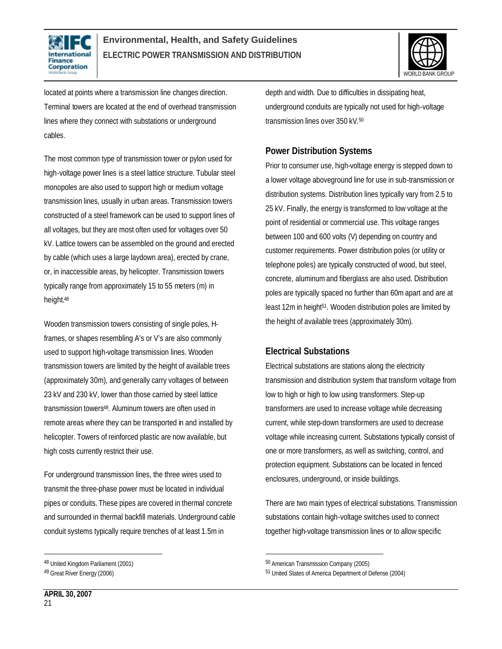



located at points where a transmission line changes direction. Terminal towers are located at the end of overhead transmission lines where they connect with substations or underground cables.

The most common type of transmission tower or pylon used for high-voltage power lines is a steel lattice structure. Tubular steel monopoles are also used to support high or medium voltage transmission lines, usually in urban areas. Transmission towers constructed of a steel framework can be used to support lines of all voltages, but they are most often used for voltages over 50 kV. Lattice towers can be assembled on the ground and erected by cable (which uses a large laydown area), erected by crane, or, in inaccessible areas, by helicopter. Transmission towers typically range from approximately 15 to 55 meters (m) in height. 48

Wooden transmission towers consisting of single poles, Hframes, or shapes resembling A's or V's are also commonly used to support high-voltage transmission lines. Wooden transmission towers are limited by the height of available trees (approximately 30m), and generally carry voltages of between 23 kV and 230 kV, lower than those carried by steel lattice transmission towers<sup>49</sup>. Aluminum towers are often used in remote areas where they can be transported in and installed by helicopter. Towers of reinforced plastic are now available, but high costs currently restrict their use.

For underground transmission lines, the three wires used to transmit the three-phase power must be located in individual pipes or conduits. These pipes are covered in thermal concrete and surrounded in thermal backfill materials. Underground cable conduit systems typically require trenches of at least 1.5m in

 $\overline{a}$ 

depth and width. Due to difficulties in dissipating heat, underground conduits are typically not used for high-voltage transmission lines over 350 kV. 50

#### **Power Distribution Systems**

Prior to consumer use, high-voltage energy is stepped down to a lower voltage aboveground line for use in sub-transmission or distribution systems. Distribution lines typically vary from 2.5 to 25 kV. Finally, the energy is transformed to low voltage at the point of residential or commercial use. This voltage ranges between 100 and 600 volts (V) depending on country and customer requirements. Power distribution poles (or utility or telephone poles) are typically constructed of wood, but steel, concrete, aluminum and fiberglass are also used. Distribution poles are typically spaced no further than 60m apart and are at least 12m in height<sup>51</sup>. Wooden distribution poles are limited by the height of available trees (approximately 30m).

#### **Electrical Substations**

Electrical substations are stations along the electricity transmission and distribution system that transform voltage from low to high or high to low using transformers. Step-up transformers are used to increase voltage while decreasing current, while step-down transformers are used to decrease voltage while increasing current. Substations typically consist of one or more transformers, as well as switching, control, and protection equipment. Substations can be located in fenced enclosures, underground, or inside buildings.

There are two main types of electrical substations. Transmission substations contain high-voltage switches used to connect together high-voltage transmission lines or to allow specific

<sup>48</sup> United Kingdom Parliament (2001)

<sup>49</sup> Great River Energy (2006)

<sup>50</sup> American Transmission Company (2005)

<sup>51</sup> United States of America Department of Defense (2004)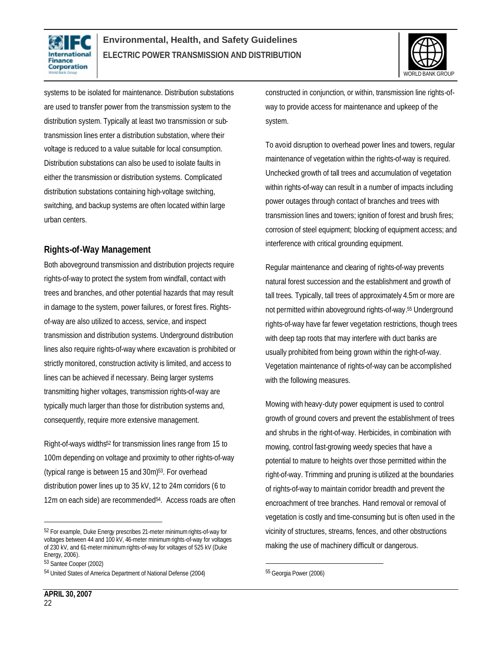



systems to be isolated for maintenance. Distribution substations are used to transfer power from the transmission system to the distribution system. Typically at least two transmission or subtransmission lines enter a distribution substation, where their voltage is reduced to a value suitable for local consumption. Distribution substations can also be used to isolate faults in either the transmission or distribution systems. Complicated distribution substations containing high-voltage switching, switching, and backup systems are often located within large urban centers.

#### **Rights-of-Way Management**

Both aboveground transmission and distribution projects require rights-of-way to protect the system from windfall, contact with trees and branches, and other potential hazards that may result in damage to the system, power failures, or forest fires. Rightsof-way are also utilized to access, service, and inspect transmission and distribution systems. Underground distribution lines also require rights-of-way where excavation is prohibited or strictly monitored, construction activity is limited, and access to lines can be achieved if necessary. Being larger systems transmitting higher voltages, transmission rights-of-way are typically much larger than those for distribution systems and, consequently, require more extensive management.

Right-of-ways widths52 for transmission lines range from 15 to 100m depending on voltage and proximity to other rights-of-way (typical range is between 15 and 30m) 53 . For overhead distribution power lines up to 35 kV, 12 to 24m corridors (6 to 12m on each side) are recommended54. Access roads are often

53 Santee Cooper (2002)

 $\overline{a}$ 

constructed in conjunction, or within, transmission line rights-ofway to provide access for maintenance and upkeep of the system.

To avoid disruption to overhead power lines and towers, regular maintenance of vegetation within the rights-of-way is required. Unchecked growth of tall trees and accumulation of vegetation within rights-of-way can result in a number of impacts including power outages through contact of branches and trees with transmission lines and towers; ignition of forest and brush fires; corrosion of steel equipment; blocking of equipment access; and interference with critical grounding equipment.

Regular maintenance and clearing of rights-of-way prevents natural forest succession and the establishment and growth of tall trees. Typically, tall trees of approximately 4.5m or more are not permitted within aboveground rights-of-way. <sup>55</sup> Underground rights-of-way have far fewer vegetation restrictions, though trees with deep tap roots that may interfere with duct banks are usually prohibited from being grown within the right-of-way. Vegetation maintenance of rights-of-way can be accomplished with the following measures.

Mowing with heavy-duty power equipment is used to control growth of ground covers and prevent the establishment of trees and shrubs in the right-of-way. Herbicides, in combination with mowing, control fast-growing weedy species that have a potential to mature to heights over those permitted within the right-of-way. Trimming and pruning is utilized at the boundaries of rights-of-way to maintain corridor breadth and prevent the encroachment of tree branches. Hand removal or removal of vegetation is costly and time-consuming but is often used in the vicinity of structures, streams, fences, and other obstructions making the use of machinery difficult or dangerous.

l

<sup>52</sup> For example, Duke Energy prescribes 21-meter minimum rights-of-way for voltages between 44 and 100 kV, 46-meter minimum rights-of-way for voltages of 230 kV, and 61-meter minimum rights-of-way for voltages of 525 kV (Duke Energy, 2006).

<sup>54</sup> United States of America Department of National Defense (2004)

<sup>55</sup> Georgia Power (2006)